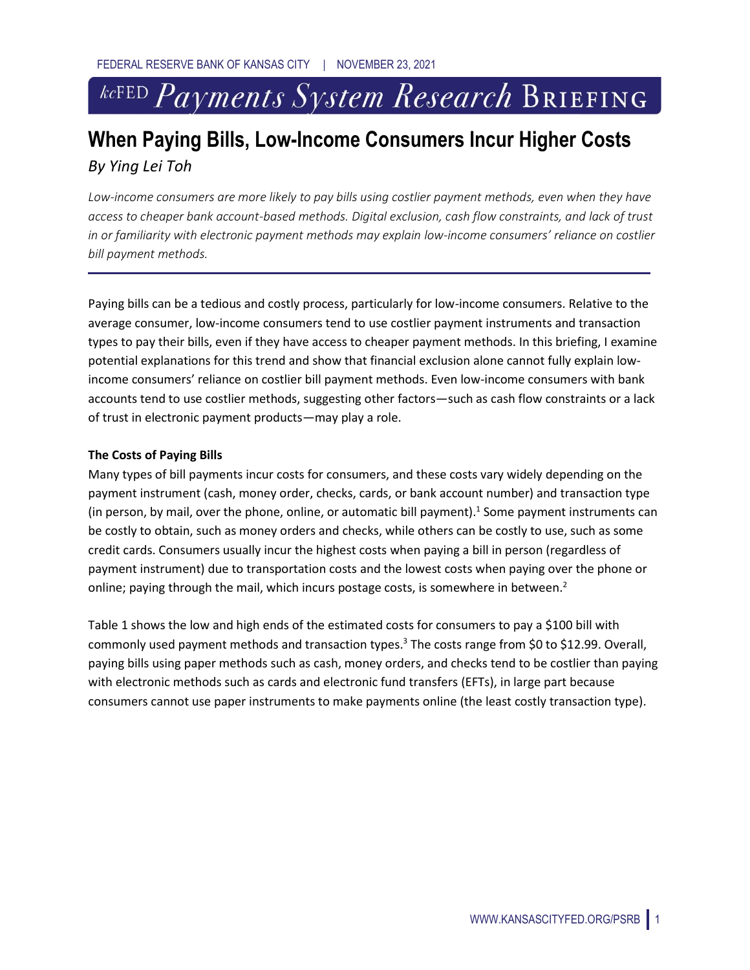# <sup>kcFED</sup> Payments System Research BRIEFING

# **When Paying Bills, Low-Income Consumers Incur Higher Costs**  *By Ying Lei Toh*

*Low-income consumers are more likely to pay bills using costlier payment methods, even when they have access to cheaper bank account-based methods. Digital exclusion, cash flow constraints, and lack of trust in or familiarity with electronic payment methods may explain low-income consumers' reliance on costlier bill payment methods.*

Paying bills can be a tedious and costly process, particularly for low-income consumers. Relative to the average consumer, low-income consumers tend to use costlier payment instruments and transaction types to pay their bills, even if they have access to cheaper payment methods. In this briefing, I examine potential explanations for this trend and show that financial exclusion alone cannot fully explain lowincome consumers' reliance on costlier bill payment methods. Even low-income consumers with bank accounts tend to use costlier methods, suggesting other factors—such as cash flow constraints or a lack of trust in electronic payment products—may play a role.

# **The Costs of Paying Bills**

Many types of bill payments incur costs for consumers, and these costs vary widely depending on the payment instrument (cash, money order, checks, cards, or bank account number) and transaction type (in person, by mail, over the phone, online, or automatic bill payment).<sup>1</sup> Some payment instruments can be costly to obtain, such as money orders and checks, while others can be costly to use, such as some credit cards. Consumers usually incur the highest costs when paying a bill in person (regardless of payment instrument) due to transportation costs and the lowest costs when paying over the phone or online; paying through the mail, which incurs postage costs, is somewhere in between.<sup>2</sup>

Table 1 shows the low and high ends of the estimated costs for consumers to pay a \$100 bill with commonly used payment methods and transaction types.<sup>3</sup> The costs range from \$0 to \$12.99. Overall, paying bills using paper methods such as cash, money orders, and checks tend to be costlier than paying with electronic methods such as cards and electronic fund transfers (EFTs), in large part because consumers cannot use paper instruments to make payments online (the least costly transaction type).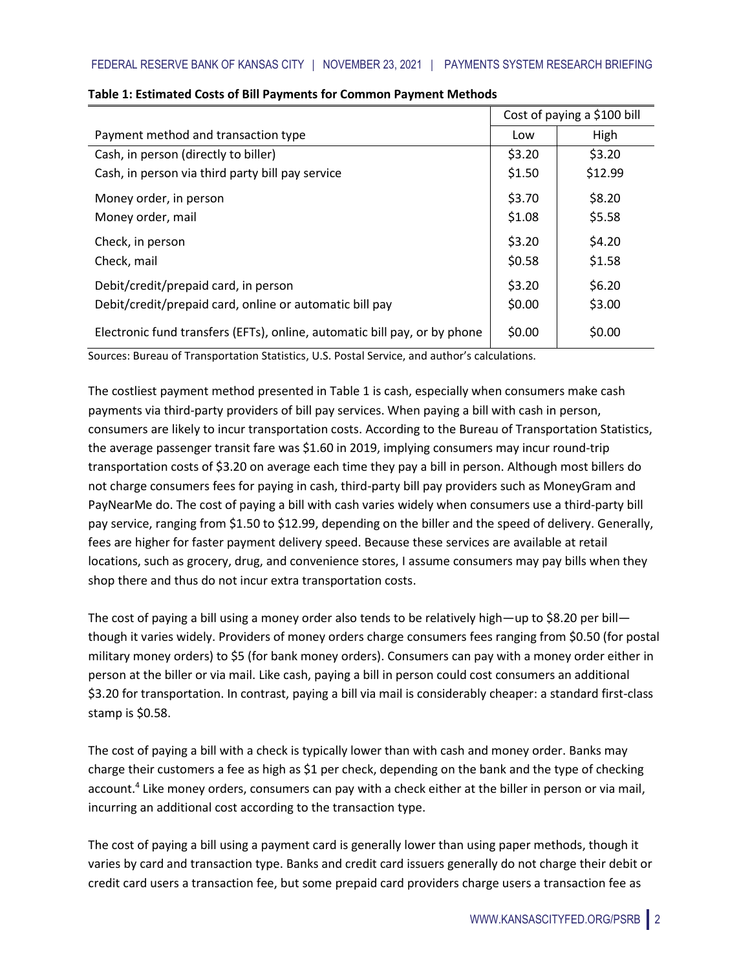|                                                                           | Cost of paying a \$100 bill |         |
|---------------------------------------------------------------------------|-----------------------------|---------|
| Payment method and transaction type                                       | Low                         | High    |
| Cash, in person (directly to biller)                                      | \$3.20                      | \$3.20  |
| Cash, in person via third party bill pay service                          | \$1.50                      | \$12.99 |
| Money order, in person                                                    | \$3.70                      | \$8.20  |
| Money order, mail                                                         | \$1.08                      | \$5.58  |
| Check, in person                                                          | \$3.20                      | \$4.20  |
| Check, mail                                                               | \$0.58                      | \$1.58  |
| Debit/credit/prepaid card, in person                                      | \$3.20                      | \$6.20  |
| Debit/credit/prepaid card, online or automatic bill pay                   | \$0.00                      | \$3.00  |
| Electronic fund transfers (EFTs), online, automatic bill pay, or by phone | \$0.00                      | \$0.00  |

### **Table 1: Estimated Costs of Bill Payments for Common Payment Methods**

Sources: Bureau of Transportation Statistics, U.S. Postal Service, and author's calculations.

The costliest payment method presented in Table 1 is cash, especially when consumers make cash payments via third-party providers of bill pay services. When paying a bill with cash in person, consumers are likely to incur transportation costs. According to the Bureau of Transportation Statistics, the average passenger transit fare was \$1.60 in 2019, implying consumers may incur round-trip transportation costs of \$3.20 on average each time they pay a bill in person. Although most billers do not charge consumers fees for paying in cash, third-party bill pay providers such as MoneyGram and PayNearMe do. The cost of paying a bill with cash varies widely when consumers use a third-party bill pay service, ranging from \$1.50 to \$12.99, depending on the biller and the speed of delivery. Generally, fees are higher for faster payment delivery speed. Because these services are available at retail locations, such as grocery, drug, and convenience stores, I assume consumers may pay bills when they shop there and thus do not incur extra transportation costs.

The cost of paying a bill using a money order also tends to be relatively high—up to \$8.20 per bill though it varies widely. Providers of money orders charge consumers fees ranging from \$0.50 (for postal military money orders) to \$5 (for bank money orders). Consumers can pay with a money order either in person at the biller or via mail. Like cash, paying a bill in person could cost consumers an additional \$3.20 for transportation. In contrast, paying a bill via mail is considerably cheaper: a standard first-class stamp is \$0.58.

The cost of paying a bill with a check is typically lower than with cash and money order. Banks may charge their customers a fee as high as \$1 per check, depending on the bank and the type of checking account.<sup>4</sup> Like money orders, consumers can pay with a check either at the biller in person or via mail, incurring an additional cost according to the transaction type.

The cost of paying a bill using a payment card is generally lower than using paper methods, though it varies by card and transaction type. Banks and credit card issuers generally do not charge their debit or credit card users a transaction fee, but some prepaid card providers charge users a transaction fee as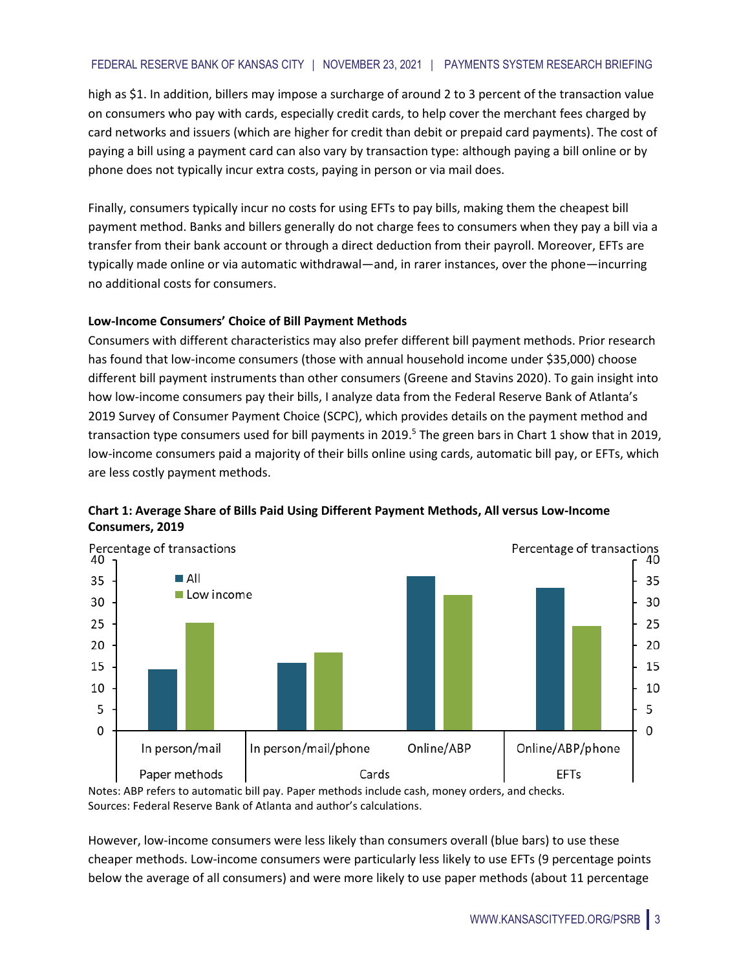# FEDERAL RESERVE BANK OF KANSAS CITY | NOVEMBER 23, 2021 | PAYMENTS SYSTEM RESEARCH BRIEFING

high as \$1. In addition, billers may impose a surcharge of around 2 to 3 percent of the transaction value on consumers who pay with cards, especially credit cards, to help cover the merchant fees charged by card networks and issuers (which are higher for credit than debit or prepaid card payments). The cost of paying a bill using a payment card can also vary by transaction type: although paying a bill online or by phone does not typically incur extra costs, paying in person or via mail does.

Finally, consumers typically incur no costs for using EFTs to pay bills, making them the cheapest bill payment method. Banks and billers generally do not charge fees to consumers when they pay a bill via a transfer from their bank account or through a direct deduction from their payroll. Moreover, EFTs are typically made online or via automatic withdrawal—and, in rarer instances, over the phone—incurring no additional costs for consumers.

# **Low-Income Consumers' Choice of Bill Payment Methods**

Consumers with different characteristics may also prefer different bill payment methods. Prior research has found that low-income consumers (those with annual household income under \$35,000) choose different bill payment instruments than other consumers (Greene and Stavins 2020). To gain insight into how low-income consumers pay their bills, I analyze data from the Federal Reserve Bank of Atlanta's 2019 Survey of Consumer Payment Choice (SCPC), which provides details on the payment method and transaction type consumers used for bill payments in 2019.<sup>5</sup> The green bars in Chart 1 show that in 2019, low-income consumers paid a majority of their bills online using cards, automatic bill pay, or EFTs, which are less costly payment methods.



# **Chart 1: Average Share of Bills Paid Using Different Payment Methods, All versus Low-Income Consumers, 2019**

Notes: ABP refers to automatic bill pay. Paper methods include cash, money orders, and checks. Sources: Federal Reserve Bank of Atlanta and author's calculations.

However, low-income consumers were less likely than consumers overall (blue bars) to use these cheaper methods. Low-income consumers were particularly less likely to use EFTs (9 percentage points below the average of all consumers) and were more likely to use paper methods (about 11 percentage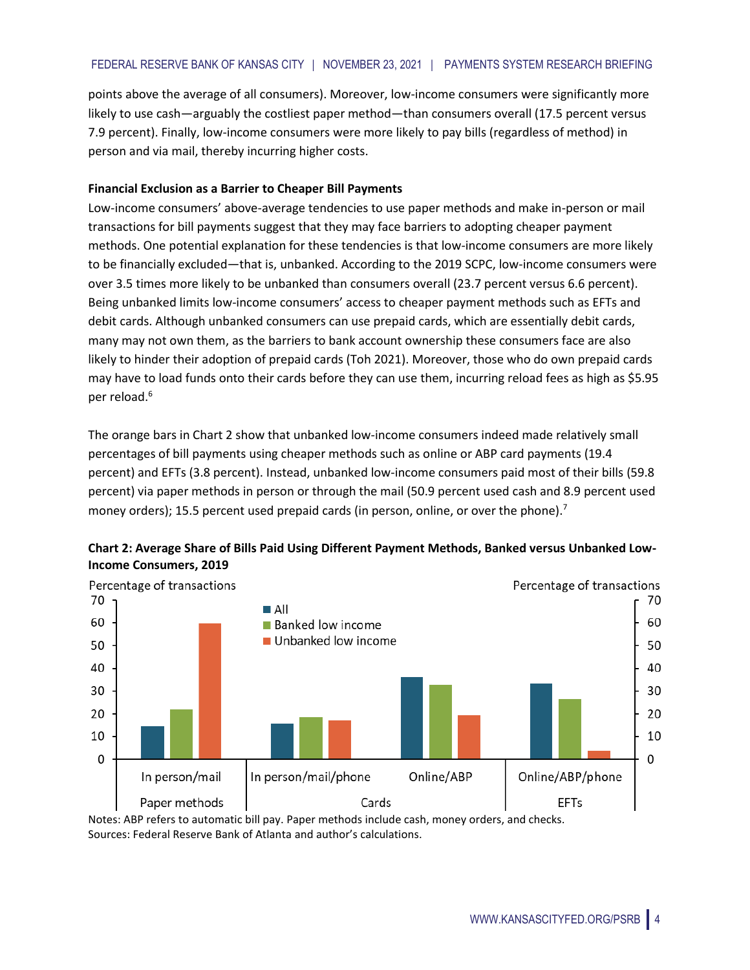points above the average of all consumers). Moreover, low-income consumers were significantly more likely to use cash—arguably the costliest paper method—than consumers overall (17.5 percent versus 7.9 percent). Finally, low-income consumers were more likely to pay bills (regardless of method) in person and via mail, thereby incurring higher costs.

### **Financial Exclusion as a Barrier to Cheaper Bill Payments**

Low-income consumers' above-average tendencies to use paper methods and make in-person or mail transactions for bill payments suggest that they may face barriers to adopting cheaper payment methods. One potential explanation for these tendencies is that low-income consumers are more likely to be financially excluded—that is, unbanked. According to the 2019 SCPC, low-income consumers were over 3.5 times more likely to be unbanked than consumers overall (23.7 percent versus 6.6 percent). Being unbanked limits low-income consumers' access to cheaper payment methods such as EFTs and debit cards. Although unbanked consumers can use prepaid cards, which are essentially debit cards, many may not own them, as the barriers to bank account ownership these consumers face are also likely to hinder their adoption of prepaid cards (Toh 2021). Moreover, those who do own prepaid cards may have to load funds onto their cards before they can use them, incurring reload fees as high as \$5.95 per reload. 6

The orange bars in Chart 2 show that unbanked low-income consumers indeed made relatively small percentages of bill payments using cheaper methods such as online or ABP card payments (19.4 percent) and EFTs (3.8 percent). Instead, unbanked low-income consumers paid most of their bills (59.8 percent) via paper methods in person or through the mail (50.9 percent used cash and 8.9 percent used money orders); 15.5 percent used prepaid cards (in person, online, or over the phone).<sup>7</sup>



**Chart 2: Average Share of Bills Paid Using Different Payment Methods, Banked versus Unbanked Low-Income Consumers, 2019**

Notes: ABP refers to automatic bill pay. Paper methods include cash, money orders, and checks. Sources: Federal Reserve Bank of Atlanta and author's calculations.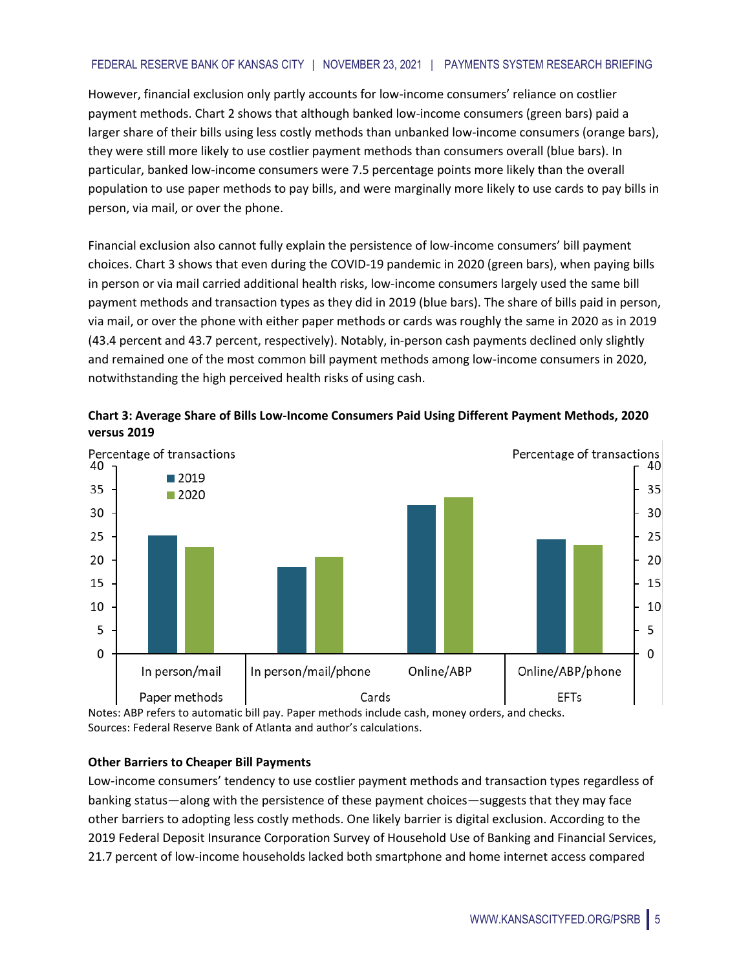However, financial exclusion only partly accounts for low-income consumers' reliance on costlier payment methods. Chart 2 shows that although banked low-income consumers (green bars) paid a larger share of their bills using less costly methods than unbanked low-income consumers (orange bars), they were still more likely to use costlier payment methods than consumers overall (blue bars). In particular, banked low-income consumers were 7.5 percentage points more likely than the overall population to use paper methods to pay bills, and were marginally more likely to use cards to pay bills in person, via mail, or over the phone.

Financial exclusion also cannot fully explain the persistence of low-income consumers' bill payment choices. Chart 3 shows that even during the COVID-19 pandemic in 2020 (green bars), when paying bills in person or via mail carried additional health risks, low-income consumers largely used the same bill payment methods and transaction types as they did in 2019 (blue bars). The share of bills paid in person, via mail, or over the phone with either paper methods or cards was roughly the same in 2020 as in 2019 (43.4 percent and 43.7 percent, respectively). Notably, in-person cash payments declined only slightly and remained one of the most common bill payment methods among low-income consumers in 2020, notwithstanding the high perceived health risks of using cash.





Notes: ABP refers to automatic bill pay. Paper methods include cash, money orders, and checks. Sources: Federal Reserve Bank of Atlanta and author's calculations.

# **Other Barriers to Cheaper Bill Payments**

Low-income consumers' tendency to use costlier payment methods and transaction types regardless of banking status—along with the persistence of these payment choices—suggests that they may face other barriers to adopting less costly methods. One likely barrier is digital exclusion. According to the 2019 Federal Deposit Insurance Corporation Survey of Household Use of Banking and Financial Services, 21.7 percent of low-income households lacked both smartphone and home internet access compared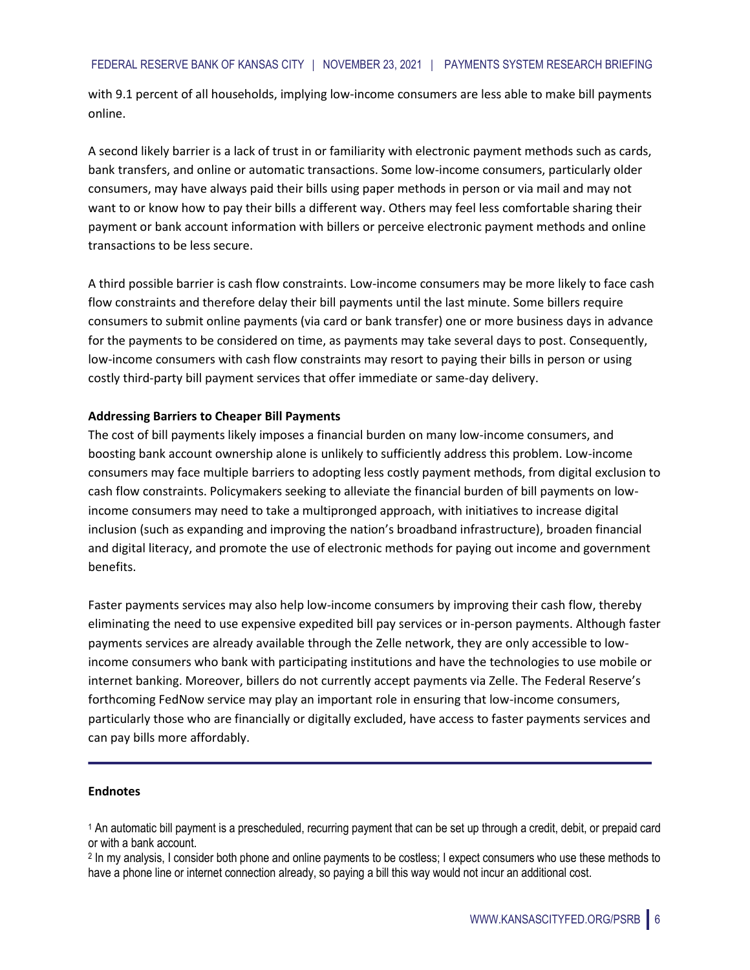with 9.1 percent of all households, implying low-income consumers are less able to make bill payments online.

A second likely barrier is a lack of trust in or familiarity with electronic payment methods such as cards, bank transfers, and online or automatic transactions. Some low-income consumers, particularly older consumers, may have always paid their bills using paper methods in person or via mail and may not want to or know how to pay their bills a different way. Others may feel less comfortable sharing their payment or bank account information with billers or perceive electronic payment methods and online transactions to be less secure.

A third possible barrier is cash flow constraints. Low-income consumers may be more likely to face cash flow constraints and therefore delay their bill payments until the last minute. Some billers require consumers to submit online payments (via card or bank transfer) one or more business days in advance for the payments to be considered on time, as payments may take several days to post. Consequently, low-income consumers with cash flow constraints may resort to paying their bills in person or using costly third-party bill payment services that offer immediate or same-day delivery.

# **Addressing Barriers to Cheaper Bill Payments**

The cost of bill payments likely imposes a financial burden on many low-income consumers, and boosting bank account ownership alone is unlikely to sufficiently address this problem. Low-income consumers may face multiple barriers to adopting less costly payment methods, from digital exclusion to cash flow constraints. Policymakers seeking to alleviate the financial burden of bill payments on lowincome consumers may need to take a multipronged approach, with initiatives to increase digital inclusion (such as expanding and improving the nation's broadband infrastructure), broaden financial and digital literacy, and promote the use of electronic methods for paying out income and government benefits.

Faster payments services may also help low-income consumers by improving their cash flow, thereby eliminating the need to use expensive expedited bill pay services or in-person payments. Although faster payments services are already available through the Zelle network, they are only accessible to lowincome consumers who bank with participating institutions and have the technologies to use mobile or internet banking. Moreover, billers do not currently accept payments via Zelle. The Federal Reserve's forthcoming FedNow service may play an important role in ensuring that low-income consumers, particularly those who are financially or digitally excluded, have access to faster payments services and can pay bills more affordably.

#### **Endnotes**

<sup>1</sup> An automatic bill payment is a prescheduled, recurring payment that can be set up through a credit, debit, or prepaid card or with a bank account.

<sup>2</sup> In my analysis, I consider both phone and online payments to be costless; I expect consumers who use these methods to have a phone line or internet connection already, so paying a bill this way would not incur an additional cost.